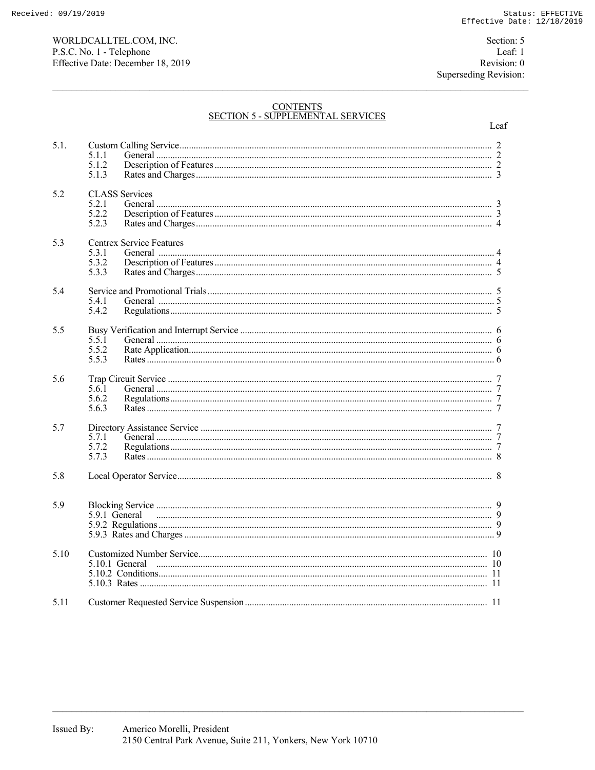WORLDCALLTEL.COM, INC. P.S.C. No. 1 - Telephone Effective Date: December 18, 2019

Section: 5 Leaf: 1 Revision: 0 Superseding Revision:

# CONTENTS<br>SECTION 5 - SUPPLEMENTAL SERVICES

|      |                                          | Leaf |
|------|------------------------------------------|------|
| 5.1. | 5.1.1<br>5.1.2                           |      |
|      | 5.1.3                                    |      |
| 5.2  | <b>CLASS</b> Services<br>5.2.1           |      |
|      | 5.2.2<br>5.2.3                           |      |
| 5.3  | <b>Centrex Service Features</b><br>5.3.1 |      |
|      | 5.3.2<br>5.3.3                           |      |
| 5.4  |                                          |      |
|      | 5.4.1<br>5.4.2                           |      |
| 5.5  |                                          |      |
|      | 5.5.1<br>5.5.2                           |      |
|      | 5.5.3                                    |      |
| 5.6  | 5.6.1                                    |      |
|      | 5.6.2<br>5.6.3                           |      |
| 5.7  | 5.7.1                                    |      |
|      | 5.7.2<br>5.7.3                           |      |
| 5.8  |                                          |      |
|      |                                          |      |
| 5.9  |                                          |      |
|      |                                          |      |
| 5.10 |                                          |      |
|      |                                          |      |
| 5.11 |                                          |      |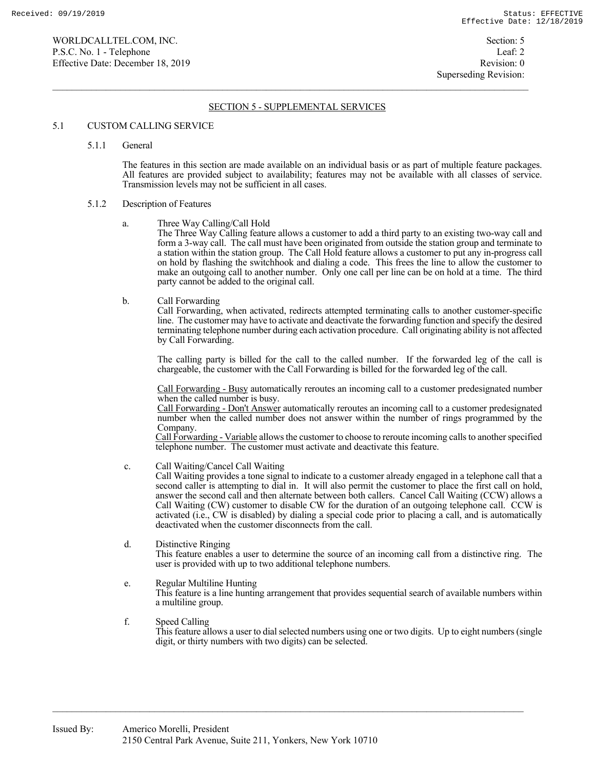# SECTION 5 - SUPPLEMENTAL SERVICES

## 5.1 CUSTOM CALLING SERVICE

5.1.1 General

 The features in this section are made available on an individual basis or as part of multiple feature packages. All features are provided subject to availability; features may not be available with all classes of service. Transmission levels may not be sufficient in all cases.

## 5.1.2 Description of Features

a. Three Way Calling/Call Hold

 The Three Way Calling feature allows a customer to add a third party to an existing two-way call and form a 3-way call. The call must have been originated from outside the station group and terminate to a station within the station group. The Call Hold feature allows a customer to put any in-progress call on hold by flashing the switchhook and dialing a code. This frees the line to allow the customer to make an outgoing call to another number. Only one call per line can be on hold at a time. The third party cannot be added to the original call.

b. Call Forwarding

 Call Forwarding, when activated, redirects attempted terminating calls to another customer-specific line. The customer may have to activate and deactivate the forwarding function and specify the desired terminating telephone number during each activation procedure. Call originating ability is not affected by Call Forwarding.

 The calling party is billed for the call to the called number. If the forwarded leg of the call is chargeable, the customer with the Call Forwarding is billed for the forwarded leg of the call.

 Call Forwarding - Busy automatically reroutes an incoming call to a customer predesignated number when the called number is busy.

 Call Forwarding - Don't Answer automatically reroutes an incoming call to a customer predesignated number when the called number does not answer within the number of rings programmed by the Company.

 Call Forwarding - Variable allows the customer to choose to reroute incoming calls to another specified telephone number. The customer must activate and deactivate this feature.

c. Call Waiting/Cancel Call Waiting

 Call Waiting provides a tone signal to indicate to a customer already engaged in a telephone call that a second caller is attempting to dial in. It will also permit the customer to place the first call on hold, answer the second call and then alternate between both callers. Cancel Call Waiting (CCW) allows a Call Waiting (CW) customer to disable CW for the duration of an outgoing telephone call. CCW is activated (i.e., CW is disabled) by dialing a special code prior to placing a call, and is automatically deactivated when the customer disconnects from the call.

 d. Distinctive Ringing This feature enables a user to determine the source of an incoming call from a distinctive ring. The user is provided with up to two additional telephone numbers.

## e. Regular Multiline Hunting

 This feature is a line hunting arrangement that provides sequential search of available numbers within a multiline group.

 f. Speed Calling This feature allows a user to dial selected numbers using one or two digits. Up to eight numbers (single digit, or thirty numbers with two digits) can be selected.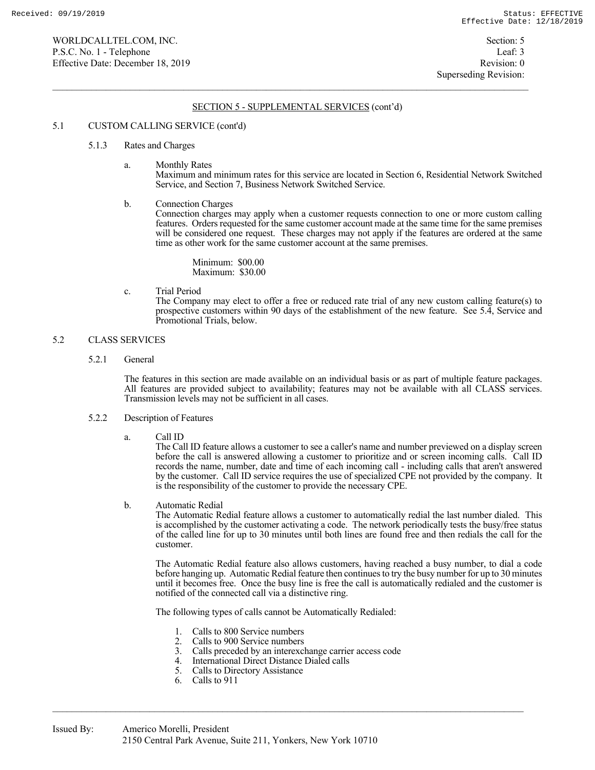## 5.1 CUSTOM CALLING SERVICE (cont'd)

#### 5.1.3 Rates and Charges

a. Monthly Rates

 Maximum and minimum rates for this service are located in Section 6, Residential Network Switched Service, and Section 7, Business Network Switched Service.

b. Connection Charges

 Connection charges may apply when a customer requests connection to one or more custom calling features. Orders requested for the same customer account made at the same time for the same premises will be considered one request. These charges may not apply if the features are ordered at the same time as other work for the same customer account at the same premises.

 Minimum: \$00.00 Maximum: \$30.00

c. Trial Period

 The Company may elect to offer a free or reduced rate trial of any new custom calling feature(s) to prospective customers within 90 days of the establishment of the new feature. See 5.4, Service and Promotional Trials, below.

# 5.2 CLASS SERVICES

5.2.1 General

 The features in this section are made available on an individual basis or as part of multiple feature packages. All features are provided subject to availability; features may not be available with all CLASS services. Transmission levels may not be sufficient in all cases.

#### 5.2.2 Description of Features

a. Call ID

 The Call ID feature allows a customer to see a caller's name and number previewed on a display screen before the call is answered allowing a customer to prioritize and or screen incoming calls. Call ID records the name, number, date and time of each incoming call - including calls that aren't answered by the customer. Call ID service requires the use of specialized CPE not provided by the company. It is the responsibility of the customer to provide the necessary CPE.

b. Automatic Redial

 The Automatic Redial feature allows a customer to automatically redial the last number dialed. This is accomplished by the customer activating a code. The network periodically tests the busy/free status of the called line for up to 30 minutes until both lines are found free and then redials the call for the customer.

 The Automatic Redial feature also allows customers, having reached a busy number, to dial a code before hanging up. Automatic Redial feature then continues to try the busy number for up to 30 minutes until it becomes free. Once the busy line is free the call is automatically redialed and the customer is notified of the connected call via a distinctive ring.

The following types of calls cannot be Automatically Redialed:

- 1. Calls to 800 Service numbers<br>2. Calls to 900 Service numbers
- 2. Calls to 900 Service numbers<br>3. Calls preceded by an interexce
- Calls preceded by an interexchange carrier access code
- 4. International Direct Distance Dialed calls
- 5. Calls to Directory Assistance
- 6. Calls to 911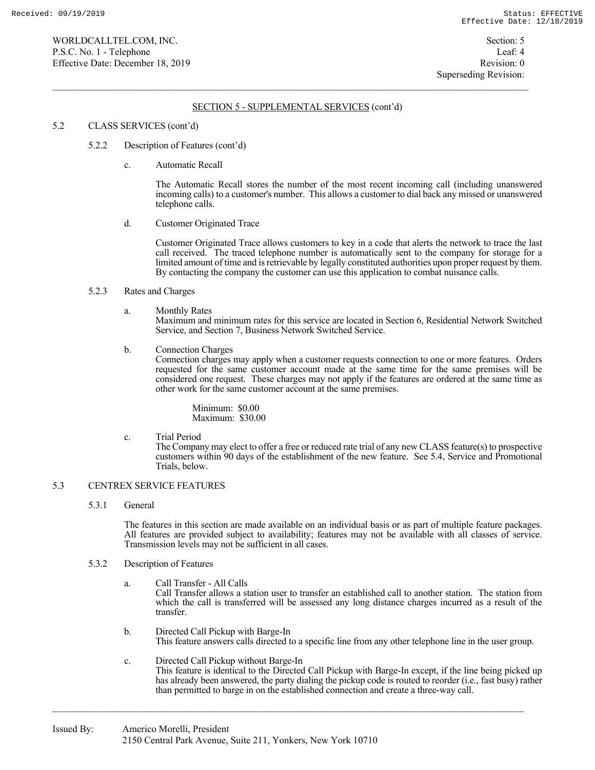## 5.2 CLASS SERVICES (cont'd)

- 5.2.2 Description of Features (cont'd)
	- c. Automatic Recall

 The Automatic Recall stores the number of the most recent incoming call (including unanswered incoming calls) to a customer's number. This allows a customer to dial back any missed or unanswered telephone calls.

d. Customer Originated Trace

 Customer Originated Trace allows customers to key in a code that alerts the network to trace the last call received. The traced telephone number is automatically sent to the company for storage for a limited amount of time and is retrievable by legally constituted authorities upon proper request by them. By contacting the company the customer can use this application to combat nuisance calls.

#### 5.2.3 Rates and Charges

a. Monthly Rates

 Maximum and minimum rates for this service are located in Section 6, Residential Network Switched Service, and Section 7, Business Network Switched Service.

b. Connection Charges

 Connection charges may apply when a customer requests connection to one or more features. Orders requested for the same customer account made at the same time for the same premises will be considered one request. These charges may not apply if the features are ordered at the same time as other work for the same customer account at the same premises.

 Minimum: \$0.00 Maximum: \$30.00

c. Trial Period

 The Company may elect to offer a free or reduced rate trial of any new CLASS feature(s) to prospective customers within 90 days of the establishment of the new feature. See 5.4, Service and Promotional Trials, below.

## 5.3 CENTREX SERVICE FEATURES

5.3.1 General

 The features in this section are made available on an individual basis or as part of multiple feature packages. All features are provided subject to availability; features may not be available with all classes of service. Transmission levels may not be sufficient in all cases.

- 5.3.2 Description of Features
	- a. Call Transfer All Calls Call Transfer allows a station user to transfer an established call to another station. The station from which the call is transferred will be assessed any long distance charges incurred as a result of the transfer.
		- b. Directed Call Pickup with Barge-In This feature answers calls directed to a specific line from any other telephone line in the user group.
		- c. Directed Call Pickup without Barge-In This feature is identical to the Directed Call Pickup with Barge-In except, if the line being picked up has already been answered, the party dialing the pickup code is routed to reorder (i.e., fast busy) rather than permitted to barge in on the established connection and create a three-way call.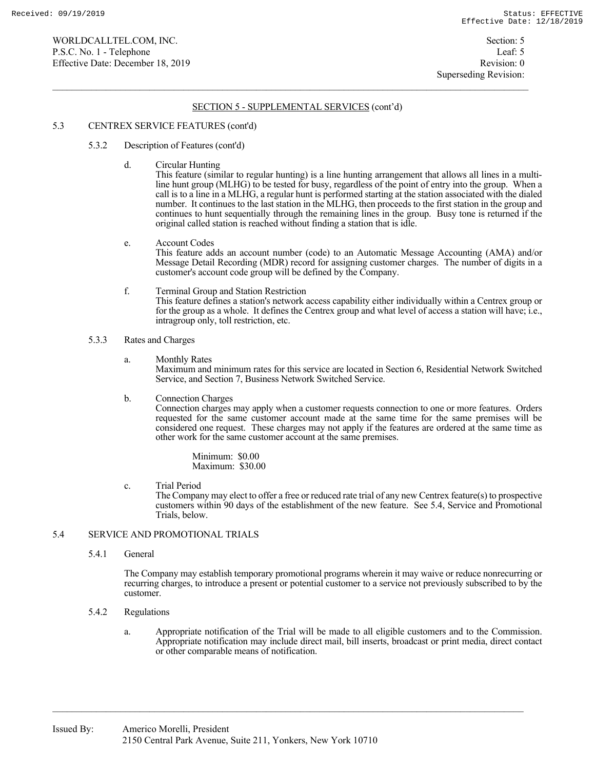## 5.3 CENTREX SERVICE FEATURES (cont'd)

- 5.3.2 Description of Features (cont'd)
	- d. Circular Hunting

 This feature (similar to regular hunting) is a line hunting arrangement that allows all lines in a multiline hunt group (MLHG) to be tested for busy, regardless of the point of entry into the group. When a call is to a line in a MLHG, a regular hunt is performed starting at the station associated with the dialed number. It continues to the last station in the MLHG, then proceeds to the first station in the group and continues to hunt sequentially through the remaining lines in the group. Busy tone is returned if the original called station is reached without finding a station that is idle.

- e. Account Codes This feature adds an account number (code) to an Automatic Message Accounting (AMA) and/or Message Detail Recording (MDR) record for assigning customer charges. The number of digits in a customer's account code group will be defined by the Company.
- f. Terminal Group and Station Restriction This feature defines a station's network access capability either individually within a Centrex group or for the group as a whole. It defines the Centrex group and what level of access a station will have; i.e., intragroup only, toll restriction, etc.

#### 5.3.3 Rates and Charges

- a. Monthly Rates Maximum and minimum rates for this service are located in Section 6, Residential Network Switched Service, and Section 7, Business Network Switched Service.
- b. Connection Charges

 Connection charges may apply when a customer requests connection to one or more features. Orders requested for the same customer account made at the same time for the same premises will be considered one request. These charges may not apply if the features are ordered at the same time as other work for the same customer account at the same premises.

> Minimum: \$0.00 Maximum: \$30.00

c. Trial Period

 The Company may elect to offer a free or reduced rate trial of any new Centrex feature(s) to prospective customers within 90 days of the establishment of the new feature. See 5.4, Service and Promotional Trials, below.

# 5.4 SERVICE AND PROMOTIONAL TRIALS

5.4.1 General

 The Company may establish temporary promotional programs wherein it may waive or reduce nonrecurring or recurring charges, to introduce a present or potential customer to a service not previously subscribed to by the customer.

- 5.4.2 Regulations
	- a. Appropriate notification of the Trial will be made to all eligible customers and to the Commission. Appropriate notification may include direct mail, bill inserts, broadcast or print media, direct contact or other comparable means of notification.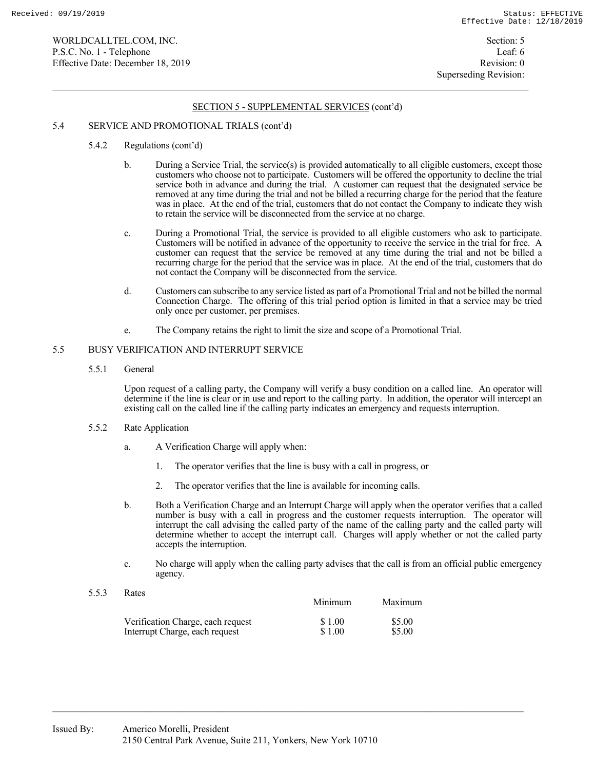# 5.4 SERVICE AND PROMOTIONAL TRIALS (cont'd)

- 5.4.2 Regulations (cont'd)
	- b. During a Service Trial, the service(s) is provided automatically to all eligible customers, except those customers who choose not to participate. Customers will be offered the opportunity to decline the trial service both in advance and during the trial. A customer can request that the designated service be removed at any time during the trial and not be billed a recurring charge for the period that the feature was in place. At the end of the trial, customers that do not contact the Company to indicate they wish to retain the service will be disconnected from the service at no charge.
	- c. During a Promotional Trial, the service is provided to all eligible customers who ask to participate. Customers will be notified in advance of the opportunity to receive the service in the trial for free. A customer can request that the service be removed at any time during the trial and not be billed a recurring charge for the period that the service was in place. At the end of the trial, customers that do not contact the Company will be disconnected from the service.
	- d. Customers can subscribe to any service listed as part of a Promotional Trial and not be billed the normal Connection Charge. The offering of this trial period option is limited in that a service may be tried only once per customer, per premises.
	- e. The Company retains the right to limit the size and scope of a Promotional Trial.

# 5.5 BUSY VERIFICATION AND INTERRUPT SERVICE

5.5.1 General

 Upon request of a calling party, the Company will verify a busy condition on a called line. An operator will determine if the line is clear or in use and report to the calling party. In addition, the operator will intercept an existing call on the called line if the calling party indicates an emergency and requests interruption.

- 5.5.2 Rate Application
	- a. A Verification Charge will apply when:
		- 1. The operator verifies that the line is busy with a call in progress, or
		- 2. The operator verifies that the line is available for incoming calls.
	- b. Both a Verification Charge and an Interrupt Charge will apply when the operator verifies that a called number is busy with a call in progress and the customer requests interruption. The operator will interrupt the call advising the called party of the name of the calling party and the called party will determine whether to accept the interrupt call. Charges will apply whether or not the called party accepts the interruption.
	- c. No charge will apply when the calling party advises that the call is from an official public emergency agency.
- 5.5.3 Rates

|                                   | Minimum | Maximum |
|-----------------------------------|---------|---------|
| Verification Charge, each request | \$1.00  | \$5.00  |
| Interrupt Charge, each request    | \$1.00  | \$5.00  |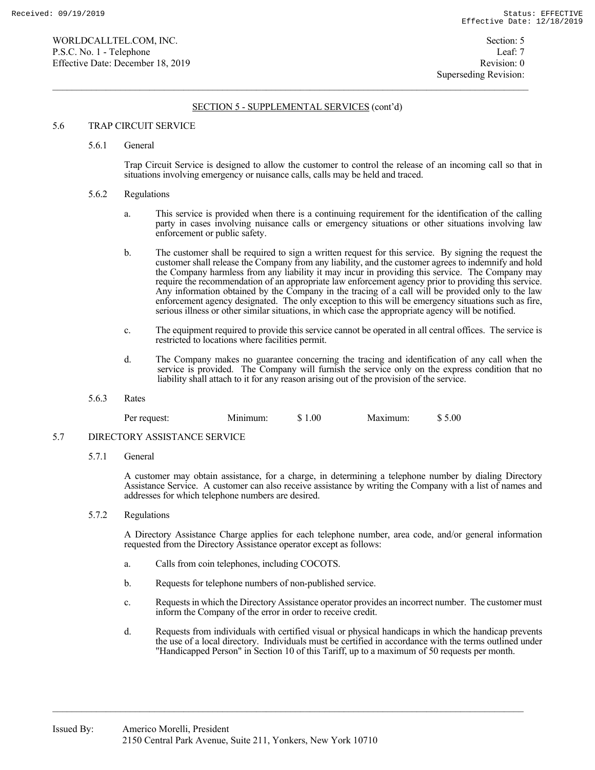## 5.6 TRAP CIRCUIT SERVICE

#### 5.6.1 General

 Trap Circuit Service is designed to allow the customer to control the release of an incoming call so that in situations involving emergency or nuisance calls, calls may be held and traced.

#### 5.6.2 Regulations

- a. This service is provided when there is a continuing requirement for the identification of the calling party in cases involving nuisance calls or emergency situations or other situations involving law enforcement or public safety.
- b. The customer shall be required to sign a written request for this service. By signing the request the customer shall release the Company from any liability, and the customer agrees to indemnify and hold the Company harmless from any liability it may incur in providing this service. The Company may require the recommendation of an appropriate law enforcement agency prior to providing this service. Any information obtained by the Company in the tracing of a call will be provided only to the law enforcement agency designated. The only exception to this will be emergency situations such as fire, serious illness or other similar situations, in which case the appropriate agency will be notified.
- c. The equipment required to provide this service cannot be operated in all central offices. The service is restricted to locations where facilities permit.
- d. The Company makes no guarantee concerning the tracing and identification of any call when the service is provided. The Company will furnish the service only on the express condition that no liability shall attach to it for any reason arising out of the provision of the service.
- 5.6.3 Rates

| request.<br><u>var</u><br>51 | W. | .00<br>"<br>. . | ™uun. | 00<br>m |
|------------------------------|----|-----------------|-------|---------|
|------------------------------|----|-----------------|-------|---------|

## 5.7 DIRECTORY ASSISTANCE SERVICE

5.7.1 General

 A customer may obtain assistance, for a charge, in determining a telephone number by dialing Directory Assistance Service. A customer can also receive assistance by writing the Company with a list of names and addresses for which telephone numbers are desired.

5.7.2 Regulations

 A Directory Assistance Charge applies for each telephone number, area code, and/or general information requested from the Directory Assistance operator except as follows:

- a. Calls from coin telephones, including COCOTS.
- b. Requests for telephone numbers of non-published service.
- c. Requests in which the Directory Assistance operator provides an incorrect number. The customer must inform the Company of the error in order to receive credit.
- d. Requests from individuals with certified visual or physical handicaps in which the handicap prevents the use of a local directory. Individuals must be certified in accordance with the terms outlined under "Handicapped Person" in Section 10 of this Tariff, up to a maximum of 50 requests per month.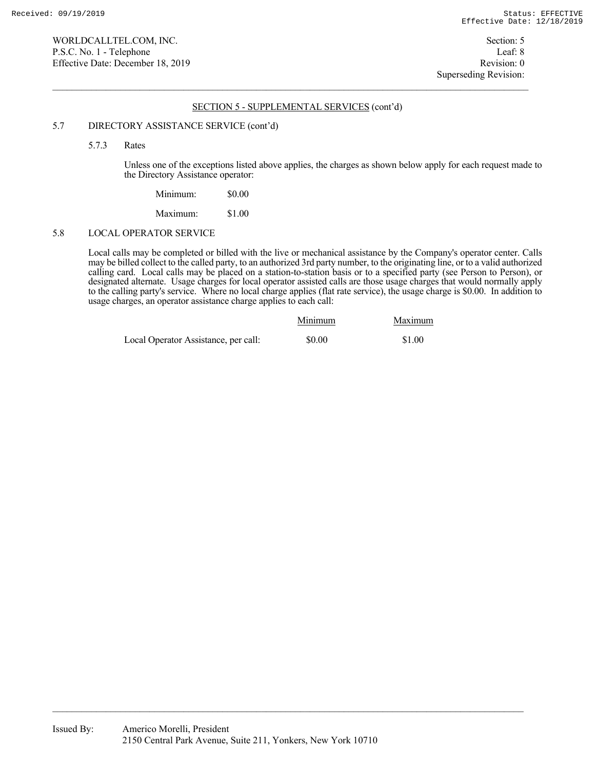### 5.7 DIRECTORY ASSISTANCE SERVICE (cont'd)

5.7.3 Rates

 Unless one of the exceptions listed above applies, the charges as shown below apply for each request made to the Directory Assistance operator:

| Minimum: | \$0.00 |
|----------|--------|
| Maximum: | \$1.00 |

# 5.8 LOCAL OPERATOR SERVICE

 Local calls may be completed or billed with the live or mechanical assistance by the Company's operator center. Calls may be billed collect to the called party, to an authorized 3rd party number, to the originating line, or to a valid authorized calling card. Local calls may be placed on a station-to-station basis or to a specified party (see Person to Person), or designated alternate. Usage charges for local operator assisted calls are those usage charges that would normally apply to the calling party's service. Where no local charge applies (flat rate service), the usage charge is \$0.00. In addition to usage charges, an operator assistance charge applies to each call:

|                                      | Minimum | Maximum |
|--------------------------------------|---------|---------|
| Local Operator Assistance, per call: | \$0.00  | \$1.00  |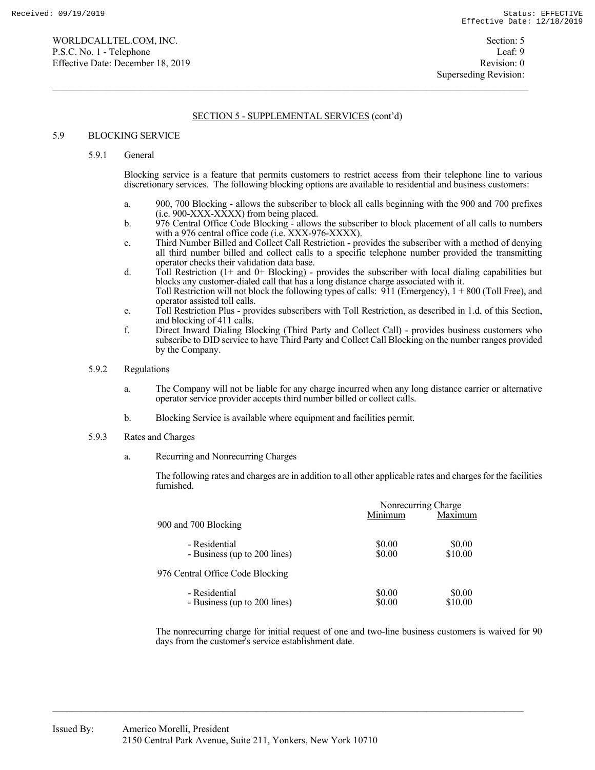## 5.9 BLOCKING SERVICE

# 5.9.1 General

 Blocking service is a feature that permits customers to restrict access from their telephone line to various discretionary services. The following blocking options are available to residential and business customers:

- a. 900, 700 Blocking allows the subscriber to block all calls beginning with the 900 and 700 prefixes  $(i.e. 900-XXX-XXXX)$  from being placed.
- b. 976 Central Office Code Blocking allows the subscriber to block placement of all calls to numbers with a 976 central office code (i.e. XXX-976-XXXX).
- c. Third Number Billed and Collect Call Restriction provides the subscriber with a method of denying all third number billed and collect calls to a specific telephone number provided the transmitting operator checks their validation data base.
- d. Toll Restriction (1+ and 0+ Blocking) provides the subscriber with local dialing capabilities but blocks any customer-dialed call that has a long distance charge associated with it. Toll Restriction will not block the following types of calls: 911 (Emergency), 1 + 800 (Toll Free), and operator assisted toll calls.
- e. Toll Restriction Plus provides subscribers with Toll Restriction, as described in 1.d. of this Section, and blocking of 411 calls.
- f. Direct Inward Dialing Blocking (Third Party and Collect Call) provides business customers who subscribe to DID service to have Third Party and Collect Call Blocking on the number ranges provided by the Company.

## 5.9.2 Regulations

- a. The Company will not be liable for any charge incurred when any long distance carrier or alternative operator service provider accepts third number billed or collect calls.
- b. Blocking Service is available where equipment and facilities permit.

## 5.9.3 Rates and Charges

a. Recurring and Nonrecurring Charges

 The following rates and charges are in addition to all other applicable rates and charges for the facilities furnished.

|                                               | Nonrecurring Charge |                   |
|-----------------------------------------------|---------------------|-------------------|
| 900 and 700 Blocking                          | Minimum             | Maximum           |
| - Residential<br>- Business (up to 200 lines) | \$0.00<br>\$0.00    | \$0.00<br>\$10.00 |
| 976 Central Office Code Blocking              |                     |                   |
| - Residential<br>- Business (up to 200 lines) | \$0.00<br>\$0.00    | \$0.00<br>\$10.00 |

 The nonrecurring charge for initial request of one and two-line business customers is waived for 90 days from the customer's service establishment date.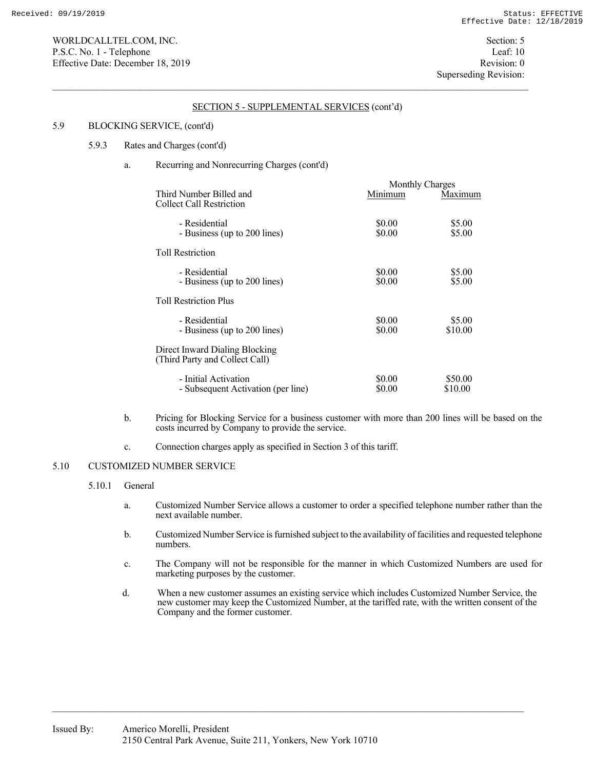# 5.9 BLOCKING SERVICE, (cont'd)

## 5.9.3 Rates and Charges (cont'd)

# a. Recurring and Nonrecurring Charges (cont'd)

|                                                                  |                  | Monthly Charges    |  |
|------------------------------------------------------------------|------------------|--------------------|--|
| Third Number Billed and<br>Collect Call Restriction              | Minimum          | Maximum            |  |
| - Residential<br>- Business (up to 200 lines)                    | \$0.00<br>\$0.00 | \$5.00<br>\$5.00   |  |
| <b>Toll Restriction</b>                                          |                  |                    |  |
| - Residential<br>- Business (up to 200 lines)                    | \$0.00<br>\$0.00 | \$5.00<br>\$5.00   |  |
| <b>Toll Restriction Plus</b>                                     |                  |                    |  |
| - Residential<br>- Business (up to 200 lines)                    | \$0.00<br>\$0.00 | \$5.00<br>\$10.00  |  |
| Direct Inward Dialing Blocking<br>(Third Party and Collect Call) |                  |                    |  |
| - Initial Activation<br>- Subsequent Activation (per line)       | \$0.00<br>\$0.00 | \$50.00<br>\$10.00 |  |

- b. Pricing for Blocking Service for a business customer with more than 200 lines will be based on the costs incurred by Company to provide the service.
- c. Connection charges apply as specified in Section 3 of this tariff.

# 5.10 CUSTOMIZED NUMBER SERVICE

## 5.10.1 General

- a. Customized Number Service allows a customer to order a specified telephone number rather than the next available number.
- b. Customized Number Service is furnished subject to the availability of facilities and requested telephone numbers.
- c. The Company will not be responsible for the manner in which Customized Numbers are used for marketing purposes by the customer.
- d. When a new customer assumes an existing service which includes Customized Number Service, the new customer may keep the Customized Number, at the tariffed rate, with the written consent of the Company and the former customer.